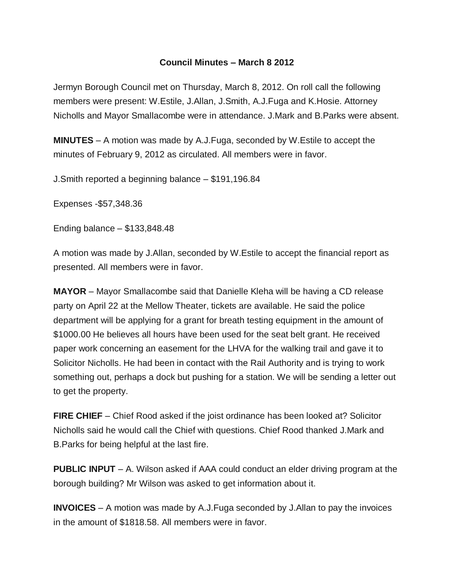## **Council Minutes – March 8 2012**

Jermyn Borough Council met on Thursday, March 8, 2012. On roll call the following members were present: W.Estile, J.Allan, J.Smith, A.J.Fuga and K.Hosie. Attorney Nicholls and Mayor Smallacombe were in attendance. J.Mark and B.Parks were absent.

**MINUTES** – A motion was made by A.J.Fuga, seconded by W.Estile to accept the minutes of February 9, 2012 as circulated. All members were in favor.

J.Smith reported a beginning balance – \$191,196.84

Expenses -\$57,348.36

Ending balance – \$133,848.48

A motion was made by J.Allan, seconded by W.Estile to accept the financial report as presented. All members were in favor.

**MAYOR** – Mayor Smallacombe said that Danielle Kleha will be having a CD release party on April 22 at the Mellow Theater, tickets are available. He said the police department will be applying for a grant for breath testing equipment in the amount of \$1000.00 He believes all hours have been used for the seat belt grant. He received paper work concerning an easement for the LHVA for the walking trail and gave it to Solicitor Nicholls. He had been in contact with the Rail Authority and is trying to work something out, perhaps a dock but pushing for a station. We will be sending a letter out to get the property.

**FIRE CHIEF** – Chief Rood asked if the joist ordinance has been looked at? Solicitor Nicholls said he would call the Chief with questions. Chief Rood thanked J.Mark and B.Parks for being helpful at the last fire.

**PUBLIC INPUT** – A. Wilson asked if AAA could conduct an elder driving program at the borough building? Mr Wilson was asked to get information about it.

**INVOICES** – A motion was made by A.J.Fuga seconded by J.Allan to pay the invoices in the amount of \$1818.58. All members were in favor.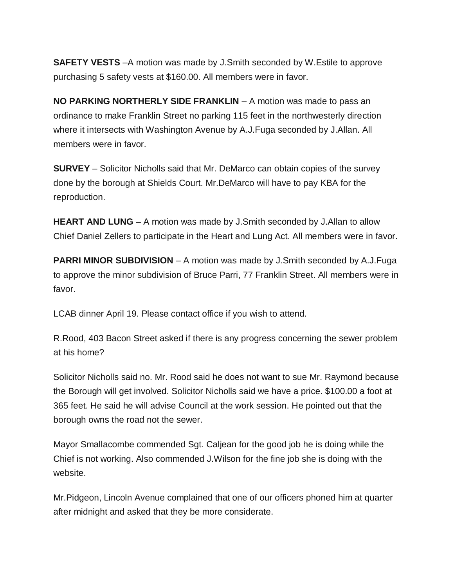**SAFETY VESTS** –A motion was made by J.Smith seconded by W.Estile to approve purchasing 5 safety vests at \$160.00. All members were in favor.

**NO PARKING NORTHERLY SIDE FRANKLIN** – A motion was made to pass an ordinance to make Franklin Street no parking 115 feet in the northwesterly direction where it intersects with Washington Avenue by A.J.Fuga seconded by J.Allan. All members were in favor.

**SURVEY** – Solicitor Nicholls said that Mr. DeMarco can obtain copies of the survey done by the borough at Shields Court. Mr.DeMarco will have to pay KBA for the reproduction.

**HEART AND LUNG** – A motion was made by J.Smith seconded by J.Allan to allow Chief Daniel Zellers to participate in the Heart and Lung Act. All members were in favor.

**PARRI MINOR SUBDIVISION** – A motion was made by J.Smith seconded by A.J.Fuga to approve the minor subdivision of Bruce Parri, 77 Franklin Street. All members were in favor.

LCAB dinner April 19. Please contact office if you wish to attend.

R.Rood, 403 Bacon Street asked if there is any progress concerning the sewer problem at his home?

Solicitor Nicholls said no. Mr. Rood said he does not want to sue Mr. Raymond because the Borough will get involved. Solicitor Nicholls said we have a price. \$100.00 a foot at 365 feet. He said he will advise Council at the work session. He pointed out that the borough owns the road not the sewer.

Mayor Smallacombe commended Sgt. Caljean for the good job he is doing while the Chief is not working. Also commended J.Wilson for the fine job she is doing with the website.

Mr.Pidgeon, Lincoln Avenue complained that one of our officers phoned him at quarter after midnight and asked that they be more considerate.